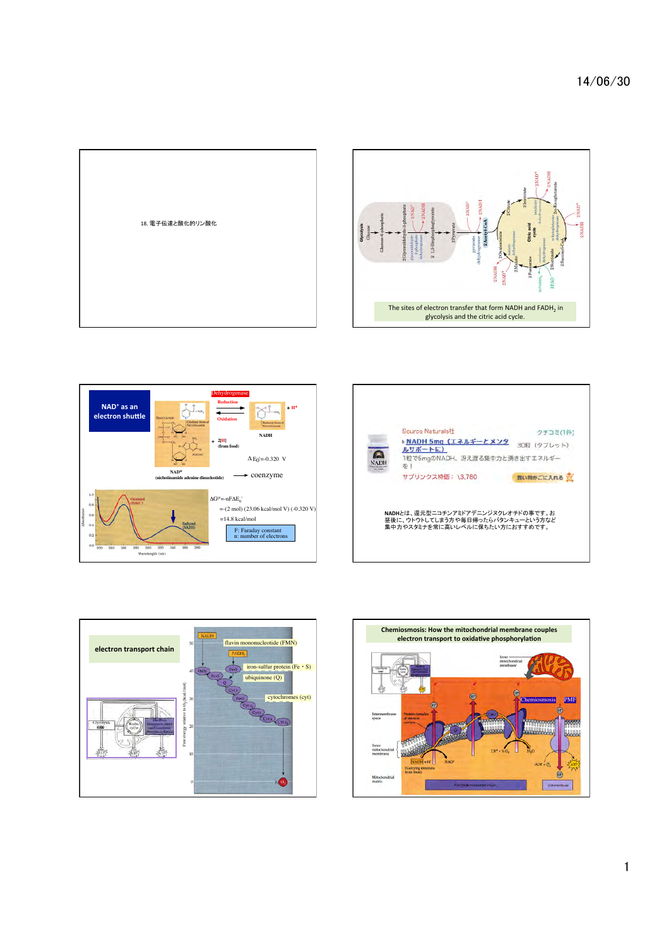







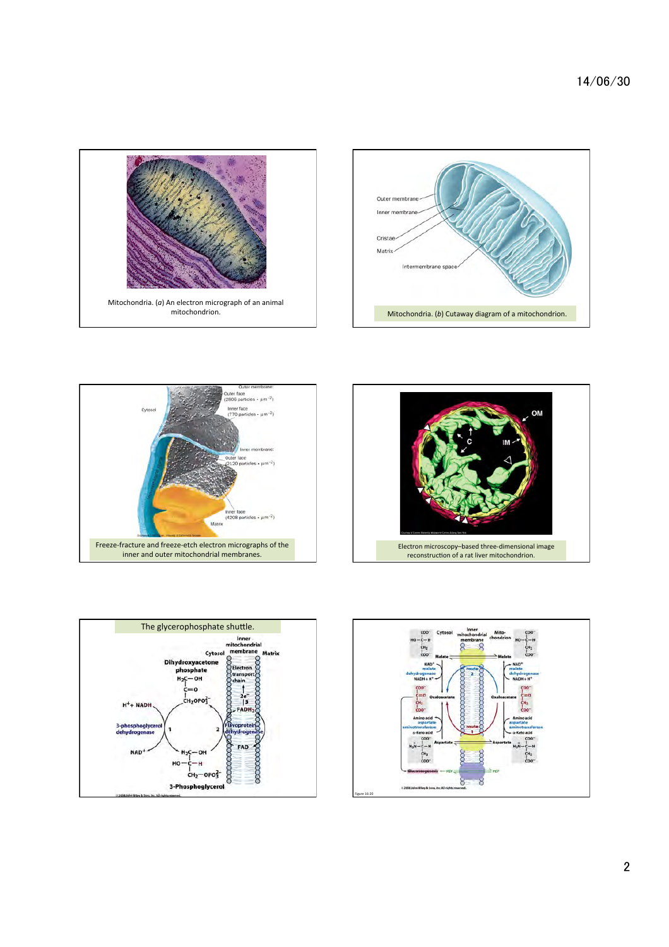









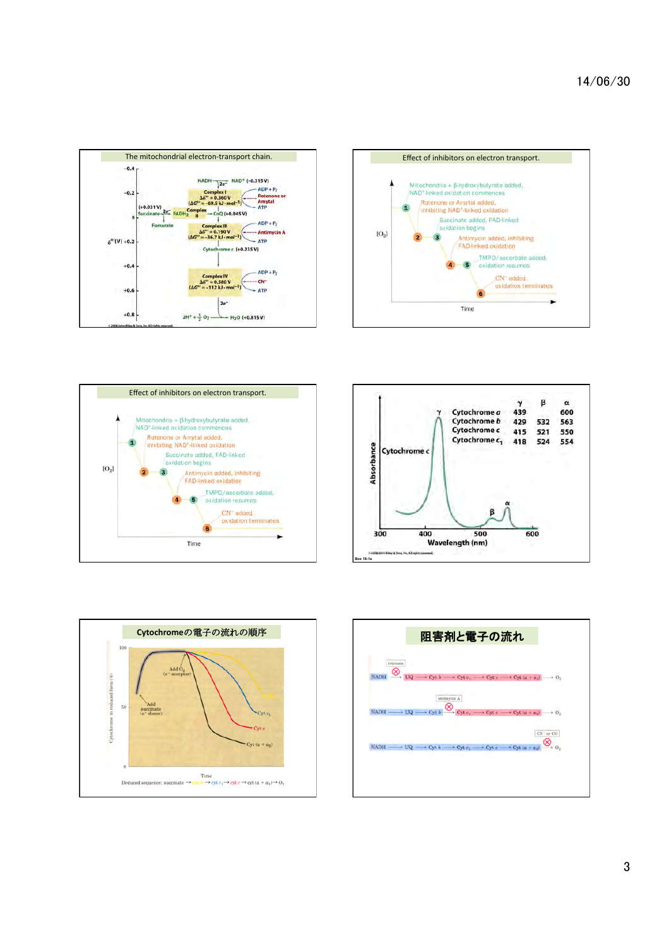









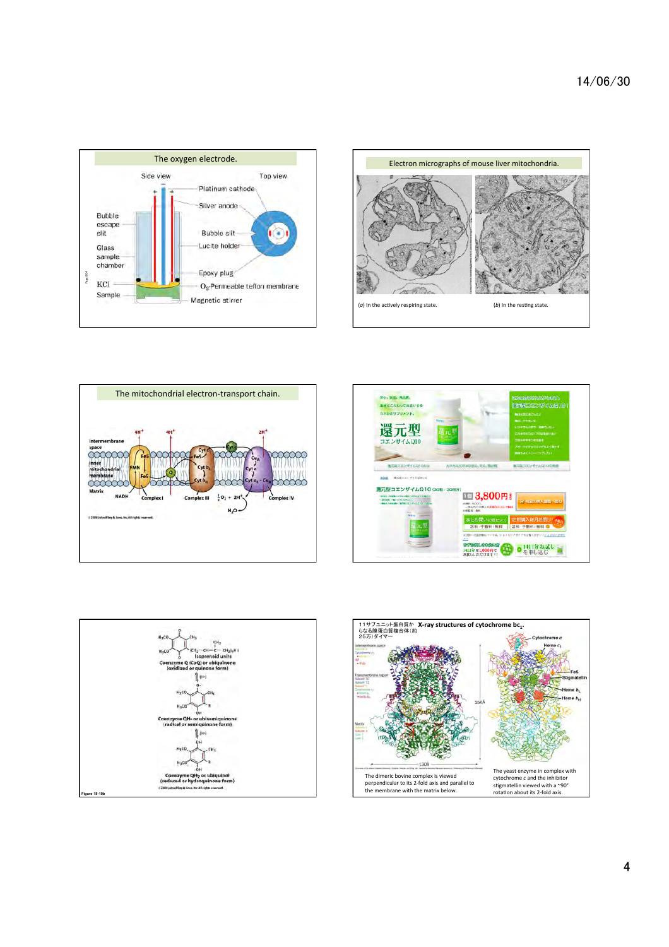